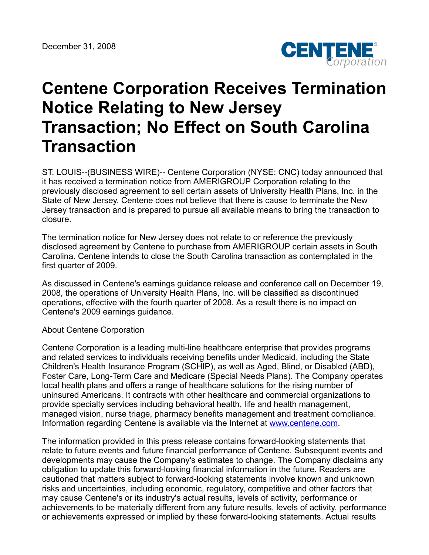

## **Centene Corporation Receives Termination Notice Relating to New Jersey Transaction; No Effect on South Carolina Transaction**

ST. LOUIS--(BUSINESS WIRE)-- Centene Corporation (NYSE: CNC) today announced that it has received a termination notice from AMERIGROUP Corporation relating to the previously disclosed agreement to sell certain assets of University Health Plans, Inc. in the State of New Jersey. Centene does not believe that there is cause to terminate the New Jersey transaction and is prepared to pursue all available means to bring the transaction to closure.

The termination notice for New Jersey does not relate to or reference the previously disclosed agreement by Centene to purchase from AMERIGROUP certain assets in South Carolina. Centene intends to close the South Carolina transaction as contemplated in the first quarter of 2009.

As discussed in Centene's earnings guidance release and conference call on December 19, 2008, the operations of University Health Plans, Inc. will be classified as discontinued operations, effective with the fourth quarter of 2008. As a result there is no impact on Centene's 2009 earnings guidance.

## About Centene Corporation

Centene Corporation is a leading multi-line healthcare enterprise that provides programs and related services to individuals receiving benefits under Medicaid, including the State Children's Health Insurance Program (SCHIP), as well as Aged, Blind, or Disabled (ABD), Foster Care, Long-Term Care and Medicare (Special Needs Plans). The Company operates local health plans and offers a range of healthcare solutions for the rising number of uninsured Americans. It contracts with other healthcare and commercial organizations to provide specialty services including behavioral health, life and health management, managed vision, nurse triage, pharmacy benefits management and treatment compliance. Information regarding Centene is available via the Internet at [www.centene.com](http://www.centene.com/).

The information provided in this press release contains forward-looking statements that relate to future events and future financial performance of Centene. Subsequent events and developments may cause the Company's estimates to change. The Company disclaims any obligation to update this forward-looking financial information in the future. Readers are cautioned that matters subject to forward-looking statements involve known and unknown risks and uncertainties, including economic, regulatory, competitive and other factors that may cause Centene's or its industry's actual results, levels of activity, performance or achievements to be materially different from any future results, levels of activity, performance or achievements expressed or implied by these forward-looking statements. Actual results